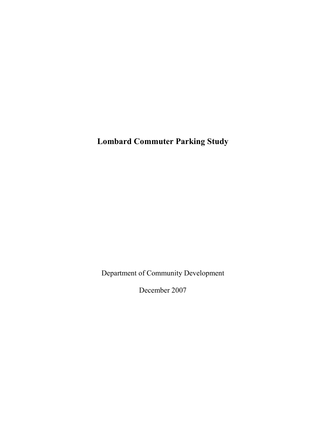Lombard Commuter Parking Study

Department of Community Development

December 2007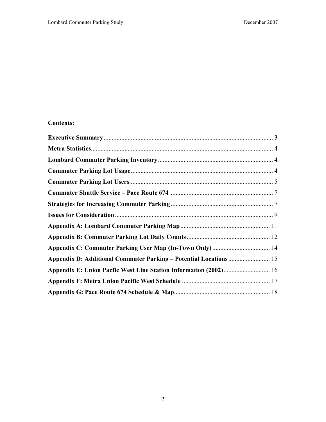# Contents:

| Appendix D: Additional Commuter Parking - Potential Locations 15 |  |
|------------------------------------------------------------------|--|
| Appendix E: Union Pacfic West Line Station Information (2002) 16 |  |
|                                                                  |  |
|                                                                  |  |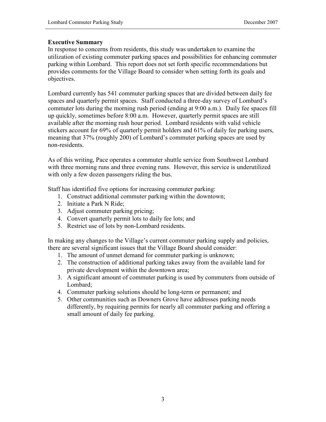#### Executive Summary

In response to concerns from residents, this study was undertaken to examine the utilization of existing commuter parking spaces and possibilities for enhancing commuter parking within Lombard. This report does not set forth specific recommendations but provides comments for the Village Board to consider when setting forth its goals and objectives.

Lombard currently has 541 commuter parking spaces that are divided between daily fee spaces and quarterly permit spaces. Staff conducted a three-day survey of Lombard's commuter lots during the morning rush period (ending at 9:00 a.m.). Daily fee spaces fill up quickly, sometimes before 8:00 a.m. However, quarterly permit spaces are still available after the morning rush hour period. Lombard residents with valid vehicle stickers account for 69% of quarterly permit holders and 61% of daily fee parking users, meaning that 37% (roughly 200) of Lombard's commuter parking spaces are used by non-residents.

As of this writing, Pace operates a commuter shuttle service from Southwest Lombard with three morning runs and three evening runs. However, this service is underutilized with only a few dozen passengers riding the bus.

Staff has identified five options for increasing commuter parking:

- 1. Construct additional commuter parking within the downtown;
- 2. Initiate a Park N Ride;
- 3. Adjust commuter parking pricing;
- 4. Convert quarterly permit lots to daily fee lots; and
- 5. Restrict use of lots by non-Lombard residents.

In making any changes to the Village's current commuter parking supply and policies, there are several significant issues that the Village Board should consider:

- 1. The amount of unmet demand for commuter parking is unknown;
- 2. The construction of additional parking takes away from the available land for private development within the downtown area;
- 3. A significant amount of commuter parking is used by commuters from outside of Lombard;
- 4. Commuter parking solutions should be long-term or permanent; and
- 5. Other communities such as Downers Grove have addresses parking needs differently, by requiring permits for nearly all commuter parking and offering a small amount of daily fee parking.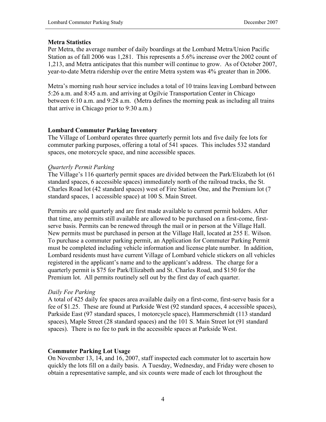#### Metra Statistics

Per Metra, the average number of daily boardings at the Lombard Metra/Union Pacific Station as of fall 2006 was 1,281. This represents a 5.6% increase over the 2002 count of 1,213, and Metra anticipates that this number will continue to grow. As of October 2007, year-to-date Metra ridership over the entire Metra system was 4% greater than in 2006.

Metra's morning rush hour service includes a total of 10 trains leaving Lombard between 5:26 a.m. and 8:45 a.m. and arriving at Ogilvie Transportation Center in Chicago between 6:10 a.m. and 9:28 a.m. (Metra defines the morning peak as including all trains that arrive in Chicago prior to 9:30 a.m.)

# Lombard Commuter Parking Inventory

The Village of Lombard operates three quarterly permit lots and five daily fee lots for commuter parking purposes, offering a total of 541 spaces. This includes 532 standard spaces, one motorcycle space, and nine accessible spaces.

# Quarterly Permit Parking

The Village's 116 quarterly permit spaces are divided between the Park/Elizabeth lot (61 standard spaces, 6 accessible spaces) immediately north of the railroad tracks, the St. Charles Road lot (42 standard spaces) west of Fire Station One, and the Premium lot (7 standard spaces, 1 accessible space) at 100 S. Main Street.

Permits are sold quarterly and are first made available to current permit holders. After that time, any permits still available are allowed to be purchased on a first-come, firstserve basis. Permits can be renewed through the mail or in person at the Village Hall. New permits must be purchased in person at the Village Hall, located at 255 E. Wilson. To purchase a commuter parking permit, an Application for Commuter Parking Permit must be completed including vehicle information and license plate number. In addition, Lombard residents must have current Village of Lombard vehicle stickers on all vehicles registered in the applicant's name and to the applicant's address. The charge for a quarterly permit is \$75 for Park/Elizabeth and St. Charles Road, and \$150 for the Premium lot. All permits routinely sell out by the first day of each quarter.

#### Daily Fee Parking

A total of 425 daily fee spaces area available daily on a first-come, first-serve basis for a fee of \$1.25. These are found at Parkside West (92 standard spaces, 4 accessible spaces), Parkside East (97 standard spaces, 1 motorcycle space), Hammerschmidt (113 standard spaces), Maple Street (28 standard spaces) and the 101 S. Main Street lot (91 standard spaces). There is no fee to park in the accessible spaces at Parkside West.

# Commuter Parking Lot Usage

On November 13, 14, and 16, 2007, staff inspected each commuter lot to ascertain how quickly the lots fill on a daily basis. A Tuesday, Wednesday, and Friday were chosen to obtain a representative sample, and six counts were made of each lot throughout the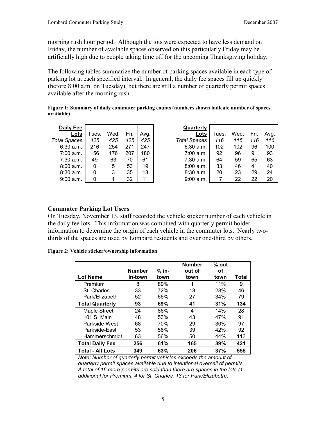morning rush hour period. Although the lots were expected to have less demand on Friday, the number of available spaces observed on this particularly Friday may be artificially high due to people taking time off for the upcoming Thanksgiving holiday.

The following tables summarize the number of parking spaces available in each type of parking lot at each specified interval. In general, the daily fee spaces fill up quickly (before 8:00 a.m. on Tuesday), but there are still a number of quarterly permit spaces available after the morning rush.

Figure 1: Summary of daily commuter parking counts (numbers shown indicate number of spaces available)

| Daily Fee           |       |      |      |      | Quarterly           |       |      |      |      |
|---------------------|-------|------|------|------|---------------------|-------|------|------|------|
| Lots                | Tues. | Wed. | Fri. | Avg. | Lots                | Tues. | Wed. | Fri. | Avg. |
| <b>Total Spaces</b> | 425   | 425  | 425  | 425  | <b>Total Spaces</b> | 116   | 115  | 116  | 116  |
| $6:30$ a.m.         | 216   | 254  | 271  | 247  | 6:30 a.m.           | 102   | 102  | 96   | 100  |
| 7:00 a.m.           | 156   | 176  | 207  | 180  | 7:00 a.m.           | 92    | 96   | 91   | 93   |
| $7:30$ a.m.         | 49    | 63   | 70   | 61   | 7:30 a.m.           | 64    | 59   | 65   | 63   |
| 8:00a.m.            | 0     | 5    | 53   | 19   | 8:00 a.m.           | 33    | 46   | 41   | 40   |
| 8:30 a.m.           | 0     | 3    | 35   | 13   | 8:30 a.m.           | 20    | 23   | 29   | 24   |
| 9:00a.m.            | 0     |      | 32   | 11   | 9:00 a.m.           | 17    | 22   | 22   | 20   |

#### Commuter Parking Lot Users

On Tuesday, November 13, staff recorded the vehicle sticker number of each vehicle in the daily fee lots. This information was combined with quarterly permit holder information to determine the origin of each vehicle in the commuter lots. Nearly twothirds of the spaces are used by Lombard residents and over one-third by others.

Figure 2: Vehicle sticker/ownership information

| <b>Lot Name</b>        | Number<br>in-town | % in-<br>town | <b>Number</b><br>out of<br>town | $%$ out<br>οf<br>town | Total |
|------------------------|-------------------|---------------|---------------------------------|-----------------------|-------|
| Premium                | 8                 | 89%           | 1                               | 11%                   | 9     |
| St. Charles            | 33                | 72%           | 13                              | 28%                   | 46    |
| Park/Elizabeth         | 52                | 66%           | 27                              | 34%                   | 79    |
| <b>Total Quarterly</b> | 93                | 69%           | 41                              | 31%                   | 134   |
| <b>Maple Street</b>    | 24                | 86%           | 4                               | 14%                   | 28    |
| 101 S. Main            | 48                | 53%           | 43                              | 47%                   | 91    |
| Parkside-West          | 68                | 70%           | 29                              | 30%                   | 97    |
| Parkside-East          | 53                | 58%           | 39                              | 42%                   | 92    |
| Hammerschmidt          | 63                | 56%           | 50                              | 44%                   | 113   |
| <b>Total Daily Fee</b> | 256               | 61%           | 165                             | 39%                   | 421   |
| Total - All Lots       | 349               | 63%           | 206                             | 37%                   | 555   |

Note: Number of quarterly permit vehicles exceeds the amount of quarterly permit spaces available due to intentional oversell of permits. A total of 16 more permits are sold than there are spaces in the lots (1 additional for Premium, 4 for St. Charles, 13 for Park/Elizabeth).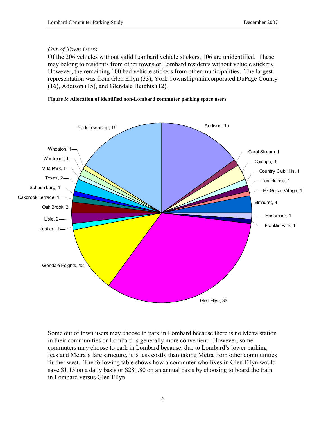### Out-of-Town Users

Of the 206 vehicles without valid Lombard vehicle stickers, 106 are unidentified. These may belong to residents from other towns or Lombard residents without vehicle stickers. However, the remaining 100 had vehicle stickers from other municipalities. The largest representation was from Glen Ellyn (33), York Township/unincorporated DuPage County (16), Addison (15), and Glendale Heights (12).





Some out of town users may choose to park in Lombard because there is no Metra station in their communities or Lombard is generally more convenient. However, some commuters may choose to park in Lombard because, due to Lombard's lower parking fees and Metra's fare structure, it is less costly than taking Metra from other communities further west. The following table shows how a commuter who lives in Glen Ellyn would save \$1.15 on a daily basis or \$281.80 on an annual basis by choosing to board the train in Lombard versus Glen Ellyn.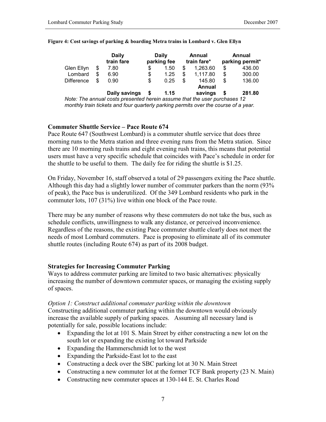|                   |   | Daily<br>train fare |    | Daily<br>parking fee |    | Annual<br>train fare* | Annual<br>parking permit* |        |  |
|-------------------|---|---------------------|----|----------------------|----|-----------------------|---------------------------|--------|--|
| Glen Ellyn        | S | 7.80                | \$ | 1.50                 | \$ | 1.263.60              | S                         | 436.00 |  |
| Lombard           | S | 6.90                | \$ | 1.25                 | \$ | 1,117.80              | S                         | 300.00 |  |
| <b>Difference</b> | S | 0.90                | \$ | 0.25                 | S  | 145.80                | S                         | 136.00 |  |
|                   |   |                     |    |                      |    | Annual                |                           |        |  |
|                   |   | Daily savings       | S  | 1.15                 |    | savings               | S                         | 281.80 |  |

#### Figure 4: Cost savings of parking & boarding Metra trains in Lombard v. Glen Ellyn

Note: The annual costs presented herein assume that the user purchases 12 monthly train tickets and four quarterly parking permits over the course of a year.

#### Commuter Shuttle Service – Pace Route 674

Pace Route 647 (Southwest Lombard) is a commuter shuttle service that does three morning runs to the Metra station and three evening runs from the Metra station. Since there are 10 morning rush trains and eight evening rush trains, this means that potential users must have a very specific schedule that coincides with Pace's schedule in order for the shuttle to be useful to them. The daily fee for riding the shuttle is \$1.25.

On Friday, November 16, staff observed a total of 29 passengers exiting the Pace shuttle. Although this day had a slightly lower number of commuter parkers than the norm (93% of peak), the Pace bus is underutilized. Of the 349 Lombard residents who park in the commuter lots, 107 (31%) live within one block of the Pace route.

There may be any number of reasons why these commuters do not take the bus, such as schedule conflicts, unwillingness to walk any distance, or perceived inconvenience. Regardless of the reasons, the existing Pace commuter shuttle clearly does not meet the needs of most Lombard commuters. Pace is proposing to eliminate all of its commuter shuttle routes (including Route 674) as part of its 2008 budget.

#### Strategies for Increasing Commuter Parking

Ways to address commuter parking are limited to two basic alternatives: physically increasing the number of downtown commuter spaces, or managing the existing supply of spaces.

#### Option 1: Construct additional commuter parking within the downtown

Constructing additional commuter parking within the downtown would obviously increase the available supply of parking spaces. Assuming all necessary land is potentially for sale, possible locations include:

- Expanding the lot at 101 S. Main Street by either constructing a new lot on the south lot or expanding the existing lot toward Parkside
- Expanding the Hammerschmidt lot to the west
- Expanding the Parkside-East lot to the east
- Constructing a deck over the SBC parking lot at 30 N. Main Street
- Constructing a new commuter lot at the former TCF Bank property (23 N. Main)
- Constructing new commuter spaces at 130-144 E. St. Charles Road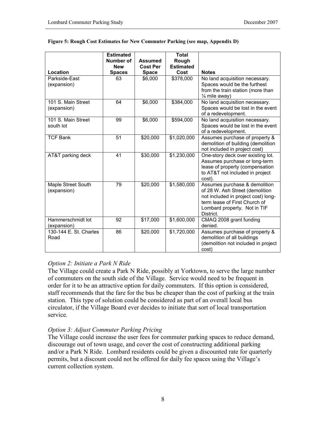|                                   | <b>Estimated</b> |                 | <b>Total</b>          |                                                                                                                                                                                       |
|-----------------------------------|------------------|-----------------|-----------------------|---------------------------------------------------------------------------------------------------------------------------------------------------------------------------------------|
|                                   | Number of        | <b>Assumed</b>  | Rough                 |                                                                                                                                                                                       |
|                                   | <b>New</b>       | <b>Cost Per</b> | <b>Estimated</b>      |                                                                                                                                                                                       |
| Location                          | <b>Spaces</b>    | <b>Space</b>    | Cost                  | <b>Notes</b>                                                                                                                                                                          |
| Parkside-East<br>(expansion)      | 63               | \$6,000         | $\overline{$}378,000$ | No land acquisition necessary.<br>Spaces would be the furthest<br>from the train station (more than<br>1/ <sub>4</sub> mile away)                                                     |
| 101 S. Main Street<br>(expansion) | 64               | \$6,000         | $\overline{$}384,000$ | No land acquisition necessary.<br>Spaces would be lost in the event<br>of a redevelopment.                                                                                            |
| 101 S. Main Street<br>south lot   | 99               | \$6,000         | \$594,000             | No land acquisition necessary.<br>Spaces would be lost in the event<br>of a redevelopment.                                                                                            |
| <b>TCF Bank</b>                   | 51               | \$20,000        | \$1,020,000           | Assumes purchase of property &<br>demolition of building (demolition<br>not included in project cost)                                                                                 |
| AT&T parking deck                 | 41               | \$30,000        | \$1,230,000           | One-story deck over existing lot.<br>Assumes purchase or long-term<br>lease of property (compensation<br>to AT&T not included in project<br>cost).                                    |
| Maple Street South<br>(expansion) | 79               | \$20,000        | \$1,580,000           | Assumes purchase & demolition<br>of 28 W. Ash Street (demolition<br>not included in project cost) long-<br>term lease of First Church of<br>Lombard property. Not in TIF<br>District. |
| Hammerschmidt lot<br>(expansion)  | 92               | \$17,000        | \$1,600,000           | CMAQ 2008 grant funding<br>denied.                                                                                                                                                    |
| 130-144 E. St. Charles<br>Road    | 86               | \$20,000        | \$1,720,000           | Assumes purchase of property &<br>demolition of all buildings<br>(demolition not included in project<br>cost)                                                                         |

#### Figure 5: Rough Cost Estimates for New Commuter Parking (see map, Appendix D)

#### Option 2: Initiate a Park N Ride

The Village could create a Park N Ride, possibly at Yorktown, to serve the large number of commuters on the south side of the Village. Service would need to be frequent in order for it to be an attractive option for daily commuters. If this option is considered, staff recommends that the fare for the bus be cheaper than the cost of parking at the train station. This type of solution could be considered as part of an overall local bus circulator, if the Village Board ever decides to initiate that sort of local transportation service.

#### Option 3: Adjust Commuter Parking Pricing

The Village could increase the user fees for commuter parking spaces to reduce demand, discourage out of town usage, and cover the cost of constructing additional parking and/or a Park N Ride. Lombard residents could be given a discounted rate for quarterly permits, but a discount could not be offered for daily fee spaces using the Village's current collection system.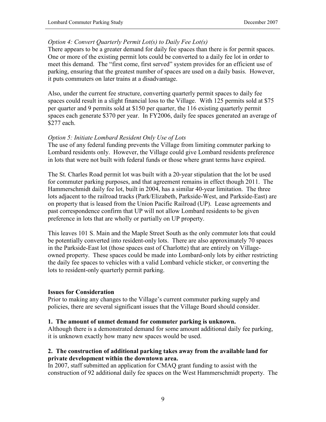# Option 4: Convert Quarterly Permit Lot(s) to Daily Fee Lot(s)

There appears to be a greater demand for daily fee spaces than there is for permit spaces. One or more of the existing permit lots could be converted to a daily fee lot in order to meet this demand. The "first come, first served" system provides for an efficient use of parking, ensuring that the greatest number of spaces are used on a daily basis. However, it puts commuters on later trains at a disadvantage.

Also, under the current fee structure, converting quarterly permit spaces to daily fee spaces could result in a slight financial loss to the Village. With 125 permits sold at \$75 per quarter and 9 permits sold at \$150 per quarter, the 116 existing quarterly permit spaces each generate \$370 per year. In FY2006, daily fee spaces generated an average of \$277 each.

#### Option 5: Initiate Lombard Resident Only Use of Lots

The use of any federal funding prevents the Village from limiting commuter parking to Lombard residents only. However, the Village could give Lombard residents preference in lots that were not built with federal funds or those where grant terms have expired.

The St. Charles Road permit lot was built with a 20-year stipulation that the lot be used for commuter parking purposes, and that agreement remains in effect though 2011. The Hammerschmidt daily fee lot, built in 2004, has a similar 40-year limitation. The three lots adjacent to the railroad tracks (Park/Elizabeth, Parkside-West, and Parkside-East) are on property that is leased from the Union Pacific Railroad (UP). Lease agreements and past correspondence confirm that UP will not allow Lombard residents to be given preference in lots that are wholly or partially on UP property.

This leaves 101 S. Main and the Maple Street South as the only commuter lots that could be potentially converted into resident-only lots. There are also approximately 70 spaces in the Parkside-East lot (those spaces east of Charlotte) that are entirely on Villageowned property. These spaces could be made into Lombard-only lots by either restricting the daily fee spaces to vehicles with a valid Lombard vehicle sticker, or converting the lots to resident-only quarterly permit parking.

#### Issues for Consideration

Prior to making any changes to the Village's current commuter parking supply and policies, there are several significant issues that the Village Board should consider.

#### 1. The amount of unmet demand for commuter parking is unknown.

Although there is a demonstrated demand for some amount additional daily fee parking, it is unknown exactly how many new spaces would be used.

#### 2. The construction of additional parking takes away from the available land for private development within the downtown area.

In 2007, staff submitted an application for CMAQ grant funding to assist with the construction of 92 additional daily fee spaces on the West Hammerschmidt property. The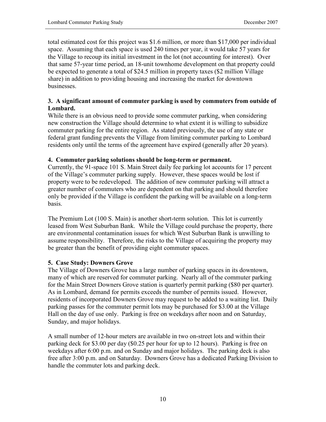total estimated cost for this project was \$1.6 million, or more than \$17,000 per individual space. Assuming that each space is used 240 times per year, it would take 57 years for the Village to recoup its initial investment in the lot (not accounting for interest). Over that same 57-year time period, an 18-unit townhome development on that property could be expected to generate a total of \$24.5 million in property taxes (\$2 million Village share) in addition to providing housing and increasing the market for downtown businesses.

# 3. A significant amount of commuter parking is used by commuters from outside of Lombard.

While there is an obvious need to provide some commuter parking, when considering new construction the Village should determine to what extent it is willing to subsidize commuter parking for the entire region. As stated previously, the use of any state or federal grant funding prevents the Village from limiting commuter parking to Lombard residents only until the terms of the agreement have expired (generally after 20 years).

# 4. Commuter parking solutions should be long-term or permanent.

Currently, the 91-space 101 S. Main Street daily fee parking lot accounts for 17 percent of the Village's commuter parking supply. However, these spaces would be lost if property were to be redeveloped. The addition of new commuter parking will attract a greater number of commuters who are dependent on that parking and should therefore only be provided if the Village is confident the parking will be available on a long-term basis.

The Premium Lot (100 S. Main) is another short-term solution. This lot is currently leased from West Suburban Bank. While the Village could purchase the property, there are environmental contamination issues for which West Suburban Bank is unwilling to assume responsibility. Therefore, the risks to the Village of acquiring the property may be greater than the benefit of providing eight commuter spaces.

# 5. Case Study: Downers Grove

The Village of Downers Grove has a large number of parking spaces in its downtown, many of which are reserved for commuter parking. Nearly all of the commuter parking for the Main Street Downers Grove station is quarterly permit parking (\$80 per quarter). As in Lombard, demand for permits exceeds the number of permits issued. However, residents of incorporated Downers Grove may request to be added to a waiting list. Daily parking passes for the commuter permit lots may be purchased for \$3.00 at the Village Hall on the day of use only. Parking is free on weekdays after noon and on Saturday, Sunday, and major holidays.

A small number of 12-hour meters are available in two on-street lots and within their parking deck for \$3.00 per day (\$0.25 per hour for up to 12 hours). Parking is free on weekdays after 6:00 p.m. and on Sunday and major holidays. The parking deck is also free after 3:00 p.m. and on Saturday. Downers Grove has a dedicated Parking Division to handle the commuter lots and parking deck.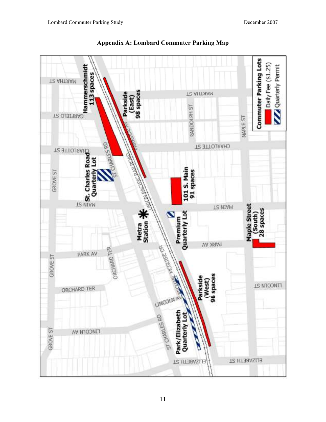

Appendix A: Lombard Commuter Parking Map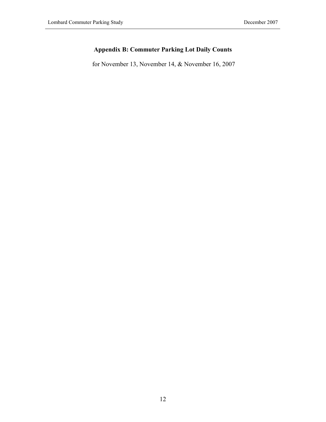# Appendix B: Commuter Parking Lot Daily Counts

for November 13, November 14, & November 16, 2007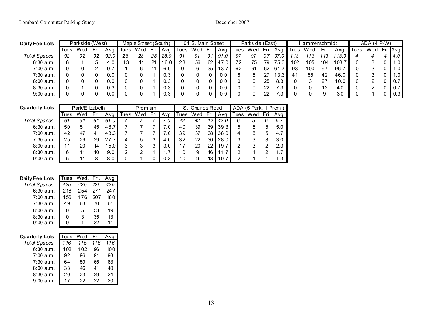| Daily Fee Lots      |       | Parkside (West) |    |      |       | Maple Street (South) |     |      |       | 101 S. Main Street |      |           |       | Parkside (East) |      |        |       | Hammerschmidt |                  |      |      | ADA $(4 P-W)$ |     |                     |
|---------------------|-------|-----------------|----|------|-------|----------------------|-----|------|-------|--------------------|------|-----------|-------|-----------------|------|--------|-------|---------------|------------------|------|------|---------------|-----|---------------------|
|                     | Tues. | Wed.            |    | Ava. | Tues. | Wed.                 | Fri | Avq. | lues. | Wed.               | Fri. | Avq.      | Tues. | Wed.            | Fri. | Avq.   | Tues. | W ed          | Fri.             | Avq. | ūes. | Wed.          | Fri | ∦Avg.               |
| <b>Total Spaces</b> | 92    | 92              | 92 | 92.0 | 28    | 28                   | 28  | 28.0 | 91    | 91                 | 91   | -91<br>.U | 97    | 97              | 97   | 97     |       | 113           |                  | 13.0 |      |               |     | 4.0 <sub>1</sub>    |
| 6:30a.m.            |       |                 |    | 4.0  | 13    | 14                   | 21  | 16.0 | 23    | 56                 | 62   | 47.0      | 72    | 75              | 79   | 75.3   | 102   | 105           | 104 <sub>1</sub> | 103  |      |               |     | $.0$ $\blacksquare$ |
| 7:00a.m.            |       |                 |    | 0.   |       |                      |     | 6.0  |       |                    | 35   | 13.7      | -62   | 61              | 62   | -61    | 93    | 100           | 97               | 96.  |      |               |     | $.0 \mid$           |
| 7:30 a.m.           |       |                 |    | 0.0  |       |                      |     | 0.3  |       |                    |      | 0.0       |       |                 |      | 13.3   | 41    | 55            | 42               | 46.0 |      |               |     | $.0$ $\blacksquare$ |
| 8:00a.m.            |       |                 |    | 0.0  |       |                      |     | 0.3  |       |                    |      | 0.0       |       |                 | 25   | 8.3    |       |               | ົາ               | 10.0 |      |               |     | 0.7 <sub>1</sub>    |
| 8:30 a.m.           |       |                 |    | 0.3  |       |                      |     | 0.3  |       |                    |      | 0.0       |       |                 | 22   | $\sim$ |       |               | 12               | 4.0  |      |               |     | 0.7 <sub>1</sub>    |
| 9:00 a.m.           |       |                 |    | 0.0  |       |                      |     | 0.3  |       |                    |      | 0.0       |       |                 | 22   | $\sim$ |       |               |                  | 3.0  |      |               |     | 0.3                 |

| <b>Quarterly Lots</b> |       | Park/Elizabeth |      |      | Premium    |           |   |     |            | St. Charles Road |    |      | ADA (5 Park, 1 Prem.) |           |   |      |
|-----------------------|-------|----------------|------|------|------------|-----------|---|-----|------------|------------------|----|------|-----------------------|-----------|---|------|
|                       | Tues. | Wed.           | Fri. |      | Avg. Tues. | Wed. Fri. |   |     | Avg. Tues. | Wed. Fri. Avg.   |    |      | Tues.                 | Wed. Fri. |   | Avg. |
| <b>Total Spaces</b>   | 61    | 61             |      | 61.0 |            |           |   | 7.0 | 42         | 42               | 42 | 42.0 | 6                     | 5         | 6 | 5.7  |
| 6:30a.m.              | 50    | 51             | 45   | 48.7 |            |           |   | 7.0 | 40         | 39               | 39 | 39.3 | 5                     | 5         | 5 | 5.0  |
| 7:00 a.m.             | 42    | 47             | 41   | 43.3 |            |           |   | 7.0 | 39         | 37               | 38 | 38.0 | 4                     | 5         | 5 | 4.7  |
| $7:30$ a.m.           | 25    | 29             | 29   | 27.7 |            | 5         | 3 | 4.0 | 32         | 22               | 30 | 28.0 | 3                     | 3         | 3 | 3.0  |
| 8:00a.m.              |       | 20             | 14   | 5.0  | 3          | 3         | 3 | 3.0 | 17         | 20               | 22 | 19.7 | 2                     | 3         | っ | 2.3  |
| 8:30a.m.              | 6     |                | 10   | 9.0  | 2          |           |   | 1.7 | 10         | 9                | 16 | .1.7 | 2                     |           | ◠ | 1.7  |
| 9:00a.m.              | 5     |                | 8    | 8.0  | 0          |           |   | 0.3 | 10         | 9                | 13 | 10.7 |                       |           |   | 1.3  |

|     |     |     | Ava.            |
|-----|-----|-----|-----------------|
| 425 | 425 | 425 | 425             |
| 216 | 254 | 271 | 247             |
| 156 | 176 | 207 | 180             |
| 49  | 63  | 70  | 61              |
| 0   | 5   | 53  | 19              |
| 0   | 3   | 35  | 13              |
|     |     | 32  | 11              |
|     |     |     | Tues. Wed. Fri. |

| <u>Quarterly Lots</u> |
|-----------------------|
| Total Spaces          |
| 6:30 a.m.             |

| <u>erly Lots</u> | Tues. Wed.      |     | Fri. | Avg. |
|------------------|-----------------|-----|------|------|
| ll Spaces        | 116             | 115 | 116  | 116  |
| 6:30 a.m.        | 102             | 102 | 96   | 100  |
| 7:00 a.m.        | 92              | 96  | 91   | 93   |
| 7:30 a.m.        | 64              | 59  | 65   | 63   |
| 8:00 a.m.        | 33              | 46  | 41   | 40   |
| 8:30 a.m.        | 20              | 23  | 29   | 24   |
| n. nn            | , <del>.,</del> | nn  | nn   | nn   |

9:00 a.m.  $17$  22 22 20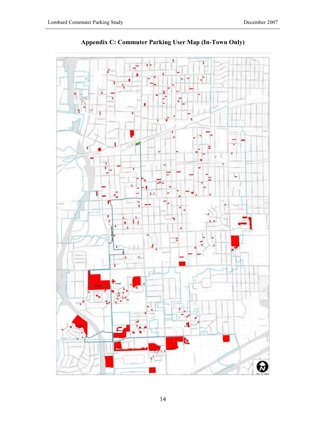

# Appendix C: Commuter Parking User Map (In-Town Only)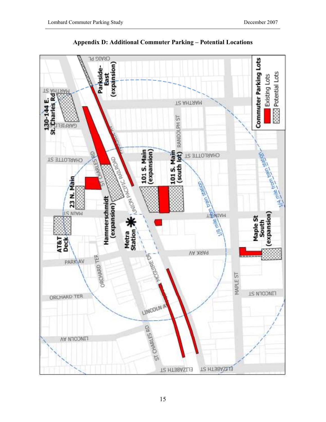

Appendix D: Additional Commuter Parking – Potential Locations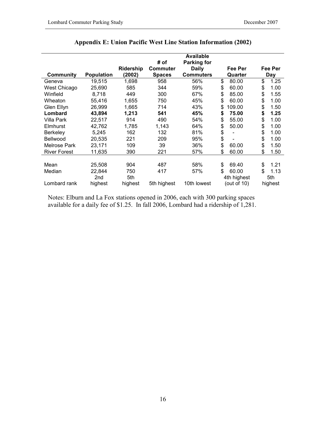|                     |                   |                     | # of                      | <b>Available</b><br><b>Parking for</b> |                    |                |
|---------------------|-------------------|---------------------|---------------------------|----------------------------------------|--------------------|----------------|
| <b>Community</b>    | <b>Population</b> | Ridership<br>(2002) | Commuter<br><b>Spaces</b> | <b>Daily</b><br><b>Commuters</b>       | Fee Per<br>Quarter | Fee Per<br>Day |
| Geneva              | 19,515            | 1,698               | 958                       | 56%                                    | \$<br>80.00        | \$<br>1.25     |
| West Chicago        | 25,690            | 585                 | 344                       | 59%                                    | \$<br>60.00        | \$<br>1.00     |
| Winfield            | 8,718             | 449                 | 300                       | 67%                                    | \$<br>85.00        | \$<br>1.55     |
| Wheaton             | 55,416            | 1,655               | 750                       | 45%                                    | \$<br>60.00        | \$<br>1.00     |
| Glen Ellyn          | 26,999            | 1,665               | 714                       | 43%                                    | \$<br>109.00       | \$<br>1.50     |
| Lombard             | 43,894            | 1,213               | 541                       | 45%                                    | \$<br>75.00        | \$<br>1.25     |
| Villa Park          | 22,517            | 914                 | 490                       | 54%                                    | \$<br>55.00        | \$<br>1.00     |
| Elmhurst            | 42,762            | 1,785               | 1,143                     | 64%                                    | \$<br>50.00        | \$<br>1.00     |
| <b>Berkeley</b>     | 5,245             | 162                 | 132                       | 81%                                    | \$                 | \$<br>1.00     |
| Bellwood            | 20,535            | 221                 | 209                       | 95%                                    | \$                 | \$<br>1.00     |
| Melrose Park        | 23,171            | 109                 | 39                        | 36%                                    | \$<br>60.00        | \$<br>1.50     |
| <b>River Forest</b> | 11,635            | 390                 | 221                       | 57%                                    | \$<br>60.00        | \$<br>1.50     |
|                     |                   |                     |                           |                                        |                    |                |
| Mean                | 25,508            | 904                 | 487                       | 58%                                    | \$<br>69.40        | \$<br>1.21     |
| Median              | 22,844            | 750                 | 417                       | 57%                                    | \$<br>60.00        | \$<br>1.13     |
|                     | 2nd               | 5th                 |                           |                                        | 4th highest        | 5th            |
| Lombard rank        | highest           | highest             | 5th highest               | 10th lowest                            | (out of $10$ )     | highest        |

# Appendix E: Union Pacific West Line Station Information (2002)

Notes: Elburn and La Fox stations opened in 2006, each with 300 parking spaces available for a daily fee of \$1.25. In fall 2006, Lombard had a ridership of 1,281.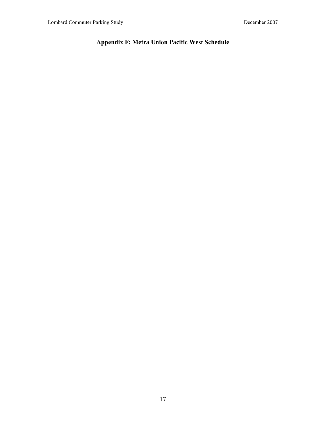# Appendix F: Metra Union Pacific West Schedule